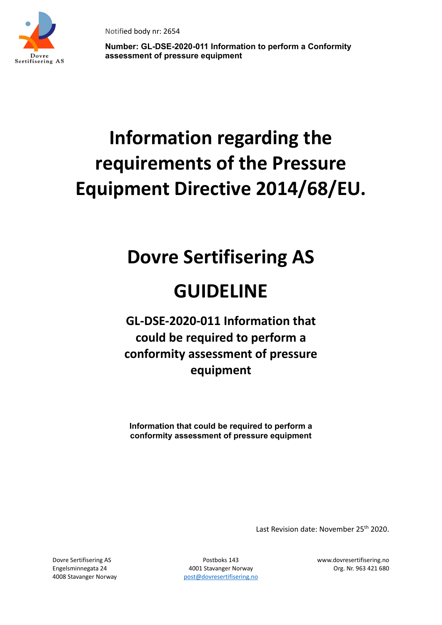

**Number: GL-DSE-2020-011 Information to perform a Conformity assessment of pressure equipment** 

# **Information regarding the requirements of the Pressure Equipment Directive 2014/68/EU.**

## **Dovre Sertifisering AS**

### **GUIDELINE**

### **GL-DSE-2020-011 Information that could be required to perform a conformity assessment of pressure equipment**

**Information that could be required to perform a conformity assessment of pressure equipment** 

Last Revision date: November 25<sup>th</sup> 2020.

Engelsminnegata 24 4001 Stavanger Norway Org. Nr. 963 421 680 4008 Stavanger Norway bost post@dovresertifisering.no

Dovre Sertifisering AS Postboks 143 www.dovresertifisering.no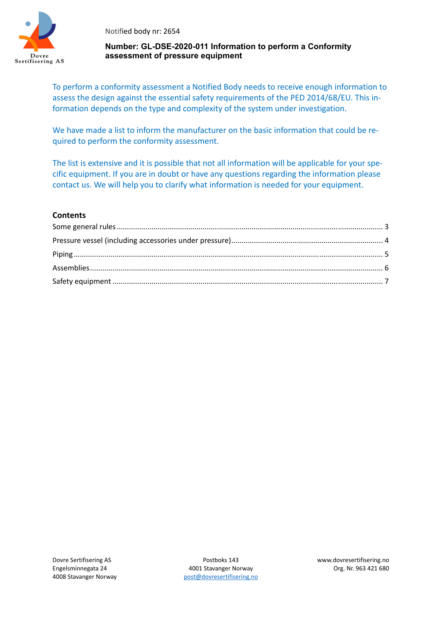

#### **Number: GL-DSE-2020-011 Information to perform a Conformity assessment of pressure equipment**

To perform a conformity assessment a Notified Body needs to receive enough information to assess the design against the essential safety requirements of the PED 2014/68/EU. This information depends on the type and complexity of the system under investigation.

We have made a list to inform the manufacturer on the basic information that could be required to perform the conformity assessment.

The list is extensive and it is possible that not all information will be applicable for your specific equipment. If you are in doubt or have any questions regarding the information please contact us. We will help you to clarify what information is needed for your equipment.

#### **Contents**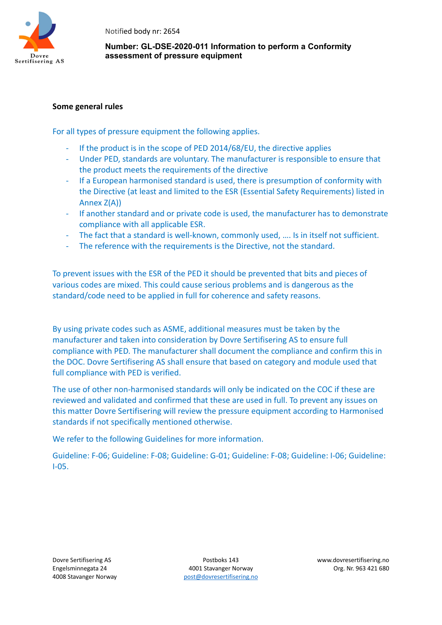

#### **Number: GL-DSE-2020-011 Information to perform a Conformity assessment of pressure equipment**

#### **Some general rules**

For all types of pressure equipment the following applies.

- If the product is in the scope of PED 2014/68/EU, the directive applies
- Under PED, standards are voluntary. The manufacturer is responsible to ensure that the product meets the requirements of the directive
- If a European harmonised standard is used, there is presumption of conformity with the Directive (at least and limited to the ESR (Essential Safety Requirements) listed in Annex Z(A))
- If another standard and or private code is used, the manufacturer has to demonstrate compliance with all applicable ESR.
- The fact that a standard is well-known, commonly used, …. Is in itself not sufficient.
- The reference with the requirements is the Directive, not the standard.

To prevent issues with the ESR of the PED it should be prevented that bits and pieces of various codes are mixed. This could cause serious problems and is dangerous as the standard/code need to be applied in full for coherence and safety reasons.

By using private codes such as ASME, additional measures must be taken by the manufacturer and taken into consideration by Dovre Sertifisering AS to ensure full compliance with PED. The manufacturer shall document the compliance and confirm this in the DOC. Dovre Sertifisering AS shall ensure that based on category and module used that full compliance with PED is verified.

The use of other non-harmonised standards will only be indicated on the COC if these are reviewed and validated and confirmed that these are used in full. To prevent any issues on this matter Dovre Sertifisering will review the pressure equipment according to Harmonised standards if not specifically mentioned otherwise.

We refer to the following Guidelines for more information.

Guideline: F-06; Guideline: F-08; Guideline: G-01; Guideline: F-08; Guideline: I-06; Guideline: I-05.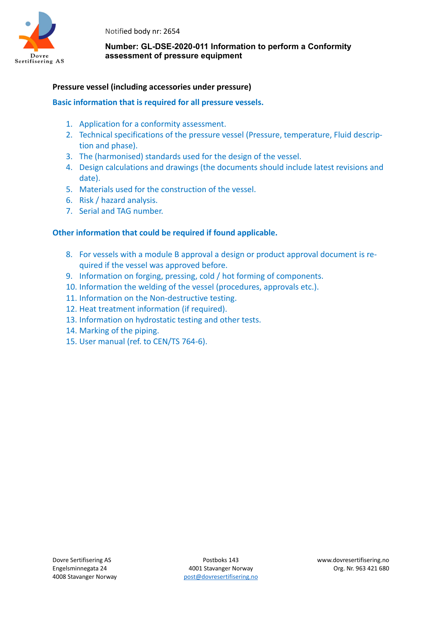

#### **Number: GL-DSE-2020-011 Information to perform a Conformity assessment of pressure equipment**

#### **Pressure vessel (including accessories under pressure)**

#### **Basic information that is required for all pressure vessels.**

- 1. Application for a conformity assessment.
- 2. Technical specifications of the pressure vessel (Pressure, temperature, Fluid description and phase).
- 3. The (harmonised) standards used for the design of the vessel.
- 4. Design calculations and drawings (the documents should include latest revisions and date).
- 5. Materials used for the construction of the vessel.
- 6. Risk / hazard analysis.
- 7. Serial and TAG number.

- 8. For vessels with a module B approval a design or product approval document is required if the vessel was approved before.
- 9. Information on forging, pressing, cold / hot forming of components.
- 10. Information the welding of the vessel (procedures, approvals etc.).
- 11. Information on the Non-destructive testing.
- 12. Heat treatment information (if required).
- 13. Information on hydrostatic testing and other tests.
- 14. Marking of the piping.
- 15. User manual (ref. to CEN/TS 764-6).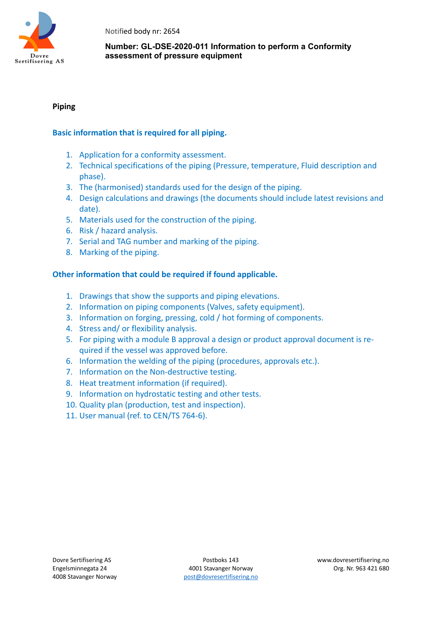

#### **Number: GL-DSE-2020-011 Information to perform a Conformity assessment of pressure equipment**

#### **Piping**

#### **Basic information that is required for all piping.**

- 1. Application for a conformity assessment.
- 2. Technical specifications of the piping (Pressure, temperature, Fluid description and phase).
- 3. The (harmonised) standards used for the design of the piping.
- 4. Design calculations and drawings (the documents should include latest revisions and date).
- 5. Materials used for the construction of the piping.
- 6. Risk / hazard analysis.
- 7. Serial and TAG number and marking of the piping.
- 8. Marking of the piping.

- 1. Drawings that show the supports and piping elevations.
- 2. Information on piping components (Valves, safety equipment).
- 3. Information on forging, pressing, cold / hot forming of components.
- 4. Stress and/ or flexibility analysis.
- 5. For piping with a module B approval a design or product approval document is required if the vessel was approved before.
- 6. Information the welding of the piping (procedures, approvals etc.).
- 7. Information on the Non-destructive testing.
- 8. Heat treatment information (if required).
- 9. Information on hydrostatic testing and other tests.
- 10. Quality plan (production, test and inspection).
- 11. User manual (ref. to CEN/TS 764-6).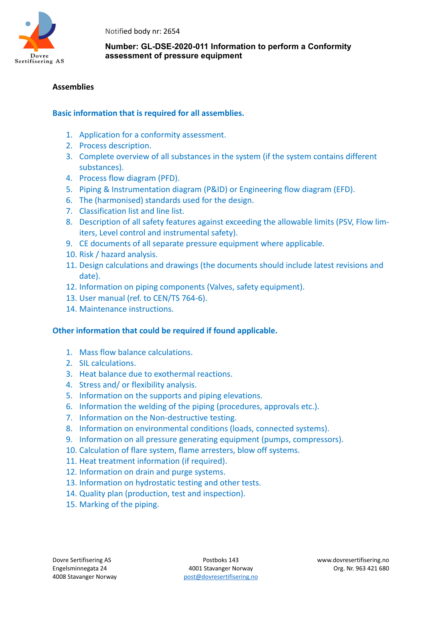

#### **Number: GL-DSE-2020-011 Information to perform a Conformity assessment of pressure equipment**

#### **Assemblies**

#### **Basic information that is required for all assemblies.**

- 1. Application for a conformity assessment.
- 2. Process description.
- 3. Complete overview of all substances in the system (if the system contains different substances).
- 4. Process flow diagram (PFD).
- 5. Piping & Instrumentation diagram (P&ID) or Engineering flow diagram (EFD).
- 6. The (harmonised) standards used for the design.
- 7. Classification list and line list.
- 8. Description of all safety features against exceeding the allowable limits (PSV, Flow limiters, Level control and instrumental safety).
- 9. CE documents of all separate pressure equipment where applicable.
- 10. Risk / hazard analysis.
- 11. Design calculations and drawings (the documents should include latest revisions and date).
- 12. Information on piping components (Valves, safety equipment).
- 13. User manual (ref. to CEN/TS 764-6).
- 14. Maintenance instructions.

- 1. Mass flow balance calculations.
- 2. SIL calculations.
- 3. Heat balance due to exothermal reactions.
- 4. Stress and/ or flexibility analysis.
- 5. Information on the supports and piping elevations.
- 6. Information the welding of the piping (procedures, approvals etc.).
- 7. Information on the Non-destructive testing.
- 8. Information on environmental conditions (loads, connected systems).
- 9. Information on all pressure generating equipment (pumps, compressors).
- 10. Calculation of flare system, flame arresters, blow off systems.
- 11. Heat treatment information (if required).
- 12. Information on drain and purge systems.
- 13. Information on hydrostatic testing and other tests.
- 14. Quality plan (production, test and inspection).
- 15. Marking of the piping.